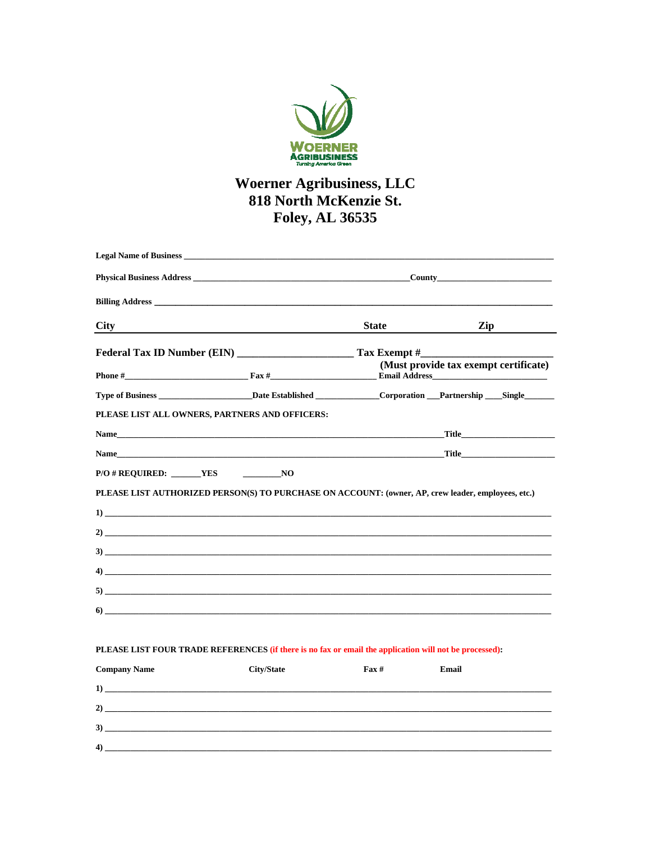

## **Woerner Agribusiness, LLC** 818 North McKenzie St. **Foley, AL 36535**

|                                                                                                                                                                                                                                                                                                                                                                                                                                              |                   | <b>County</b> control control control control control control control control control control control control control control control control control control control control control control control control control control contr |                                       |
|----------------------------------------------------------------------------------------------------------------------------------------------------------------------------------------------------------------------------------------------------------------------------------------------------------------------------------------------------------------------------------------------------------------------------------------------|-------------------|-------------------------------------------------------------------------------------------------------------------------------------------------------------------------------------------------------------------------------------|---------------------------------------|
| <b>Billing Address</b>                                                                                                                                                                                                                                                                                                                                                                                                                       |                   |                                                                                                                                                                                                                                     |                                       |
| <b>City</b>                                                                                                                                                                                                                                                                                                                                                                                                                                  |                   | <b>State</b>                                                                                                                                                                                                                        | Zip                                   |
|                                                                                                                                                                                                                                                                                                                                                                                                                                              |                   |                                                                                                                                                                                                                                     |                                       |
|                                                                                                                                                                                                                                                                                                                                                                                                                                              |                   |                                                                                                                                                                                                                                     | (Must provide tax exempt certificate) |
|                                                                                                                                                                                                                                                                                                                                                                                                                                              |                   |                                                                                                                                                                                                                                     |                                       |
| PLEASE LIST ALL OWNERS, PARTNERS AND OFFICERS:                                                                                                                                                                                                                                                                                                                                                                                               |                   |                                                                                                                                                                                                                                     |                                       |
|                                                                                                                                                                                                                                                                                                                                                                                                                                              |                   |                                                                                                                                                                                                                                     |                                       |
| Name and the contract of the contract of the contract of the contract of the contract of the contract of the contract of the contract of the contract of the contract of the contract of the contract of the contract of the c                                                                                                                                                                                                               |                   |                                                                                                                                                                                                                                     | <b>Title</b>                          |
| $P/O # REQUIRED:$ VES NO                                                                                                                                                                                                                                                                                                                                                                                                                     |                   |                                                                                                                                                                                                                                     |                                       |
| PLEASE LIST AUTHORIZED PERSON(S) TO PURCHASE ON ACCOUNT: (owner, AP, crew leader, employees, etc.)                                                                                                                                                                                                                                                                                                                                           |                   |                                                                                                                                                                                                                                     |                                       |
|                                                                                                                                                                                                                                                                                                                                                                                                                                              |                   |                                                                                                                                                                                                                                     |                                       |
|                                                                                                                                                                                                                                                                                                                                                                                                                                              |                   |                                                                                                                                                                                                                                     |                                       |
|                                                                                                                                                                                                                                                                                                                                                                                                                                              |                   |                                                                                                                                                                                                                                     |                                       |
| $\overline{4}$ )                                                                                                                                                                                                                                                                                                                                                                                                                             |                   |                                                                                                                                                                                                                                     |                                       |
|                                                                                                                                                                                                                                                                                                                                                                                                                                              |                   |                                                                                                                                                                                                                                     |                                       |
| $\overline{6}$                                                                                                                                                                                                                                                                                                                                                                                                                               |                   |                                                                                                                                                                                                                                     |                                       |
|                                                                                                                                                                                                                                                                                                                                                                                                                                              |                   |                                                                                                                                                                                                                                     |                                       |
| PLEASE LIST FOUR TRADE REFERENCES (if there is no fax or email the application will not be processed):                                                                                                                                                                                                                                                                                                                                       |                   |                                                                                                                                                                                                                                     |                                       |
| <b>Company Name</b>                                                                                                                                                                                                                                                                                                                                                                                                                          | <b>City/State</b> | $\mathbf{F}$ ax #                                                                                                                                                                                                                   | Email                                 |
| $\begin{tabular}{ c c c c } \hline \multicolumn{3}{ c }{\textbf{1}} & \multicolumn{3}{ c }{\textbf{2}} & \multicolumn{3}{ c }{\textbf{3}} & \multicolumn{3}{ c }{\textbf{4}} & \multicolumn{3}{ c }{\textbf{5}} & \multicolumn{3}{ c }{\textbf{6}} & \multicolumn{3}{ c }{\textbf{6}} & \multicolumn{3}{ c }{\textbf{6}} & \multicolumn{3}{ c }{\textbf{6}} & \multicolumn{3}{ c }{\textbf{6}} & \multicolumn{3}{ c }{\textbf{6}} & \multic$ |                   |                                                                                                                                                                                                                                     |                                       |
|                                                                                                                                                                                                                                                                                                                                                                                                                                              |                   |                                                                                                                                                                                                                                     |                                       |

 $\overline{3}$ )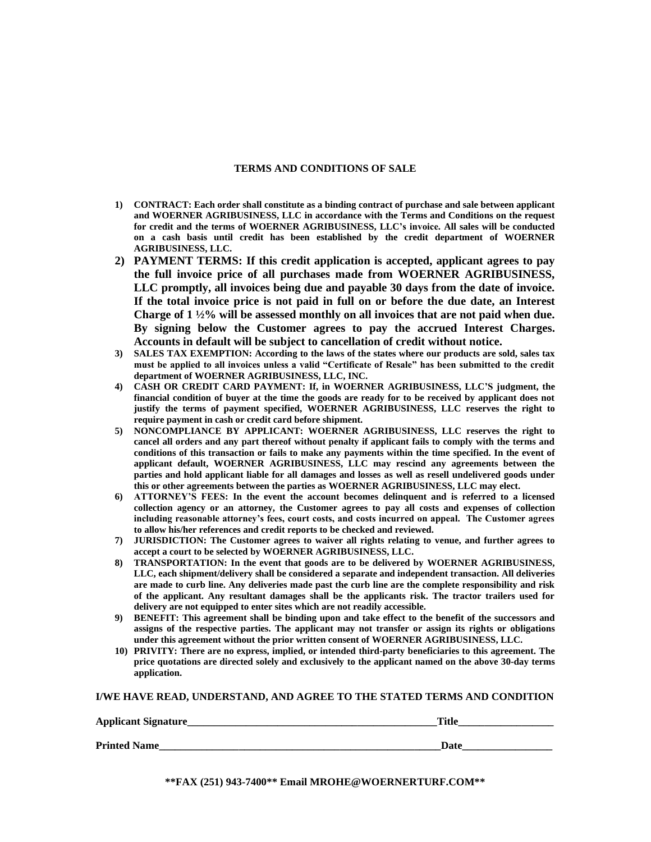## **TERMS AND CONDITIONS OF SALE**

- **1) CONTRACT: Each order shall constitute as a binding contract of purchase and sale between applicant and WOERNER AGRIBUSINESS, LLC in accordance with the Terms and Conditions on the request for credit and the terms of WOERNER AGRIBUSINESS, LLC's invoice. All sales will be conducted on a cash basis until credit has been established by the credit department of WOERNER AGRIBUSINESS, LLC.**
- **2) PAYMENT TERMS: If this credit application is accepted, applicant agrees to pay the full invoice price of all purchases made from WOERNER AGRIBUSINESS, LLC promptly, all invoices being due and payable 30 days from the date of invoice. If the total invoice price is not paid in full on or before the due date, an Interest Charge of 1 ½% will be assessed monthly on all invoices that are not paid when due. By signing below the Customer agrees to pay the accrued Interest Charges. Accounts in default will be subject to cancellation of credit without notice.**
- **3) SALES TAX EXEMPTION: According to the laws of the states where our products are sold, sales tax must be applied to all invoices unless a valid "Certificate of Resale" has been submitted to the credit department of WOERNER AGRIBUSINESS, LLC, INC.**
- **4) CASH OR CREDIT CARD PAYMENT: If, in WOERNER AGRIBUSINESS, LLC'S judgment, the financial condition of buyer at the time the goods are ready for to be received by applicant does not justify the terms of payment specified, WOERNER AGRIBUSINESS, LLC reserves the right to require payment in cash or credit card before shipment.**
- **5) NONCOMPLIANCE BY APPLICANT: WOERNER AGRIBUSINESS, LLC reserves the right to cancel all orders and any part thereof without penalty if applicant fails to comply with the terms and conditions of this transaction or fails to make any payments within the time specified. In the event of applicant default, WOERNER AGRIBUSINESS, LLC may rescind any agreements between the parties and hold applicant liable for all damages and losses as well as resell undelivered goods under this or other agreements between the parties as WOERNER AGRIBUSINESS, LLC may elect.**
- **6) ATTORNEY'S FEES: In the event the account becomes delinquent and is referred to a licensed collection agency or an attorney, the Customer agrees to pay all costs and expenses of collection including reasonable attorney's fees, court costs, and costs incurred on appeal. The Customer agrees to allow his/her references and credit reports to be checked and reviewed.**
- **7) JURISDICTION: The Customer agrees to waiver all rights relating to venue, and further agrees to accept a court to be selected by WOERNER AGRIBUSINESS, LLC.**
- **8) TRANSPORTATION: In the event that goods are to be delivered by WOERNER AGRIBUSINESS, LLC, each shipment/delivery shall be considered a separate and independent transaction. All deliveries are made to curb line. Any deliveries made past the curb line are the complete responsibility and risk of the applicant. Any resultant damages shall be the applicants risk. The tractor trailers used for delivery are not equipped to enter sites which are not readily accessible.**
- **9) BENEFIT: This agreement shall be binding upon and take effect to the benefit of the successors and assigns of the respective parties. The applicant may not transfer or assign its rights or obligations under this agreement without the prior written consent of WOERNER AGRIBUSINESS, LLC.**
- **10) PRIVITY: There are no express, implied, or intended third-party beneficiaries to this agreement. The price quotations are directed solely and exclusively to the applicant named on the above 30-day terms application.**

**I/WE HAVE READ, UNDERSTAND, AND AGREE TO THE STATED TERMS AND CONDITION**

| <b>Applicant Signature_</b> | Titl        |
|-----------------------------|-------------|
| <b>Printed Name</b>         | <b>Date</b> |

**\*\*FAX (251) 943-7400\*\* Email MROHE@WOERNERTURF.COM\*\***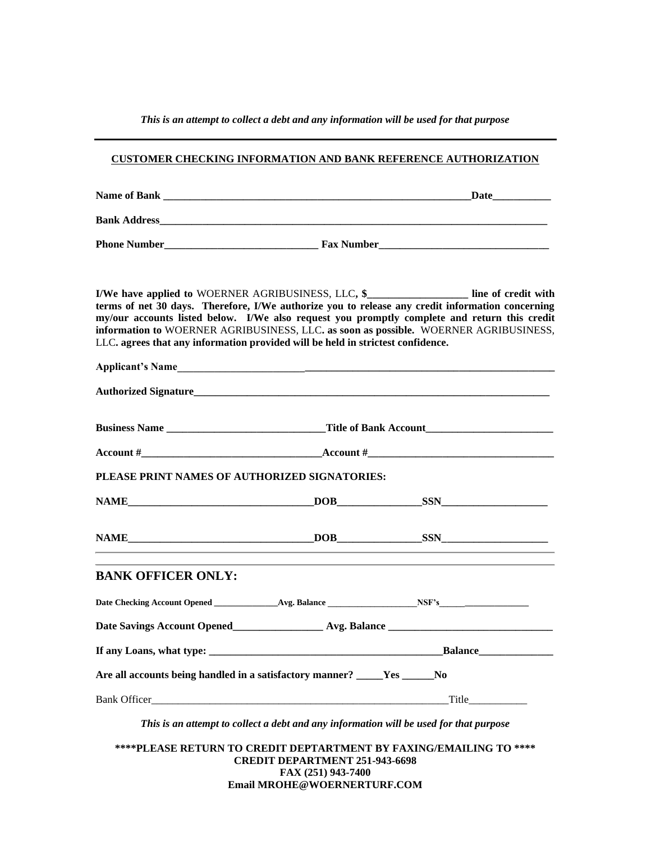*This is an attempt to collect a debt and any information will be used for that purpose*

## **CUSTOMER CHECKING INFORMATION AND BANK REFERENCE AUTHORIZATION**

| LLC. agrees that any information provided will be held in strictest confidence.                                                                          |                                                                                        | I/We have applied to WOERNER AGRIBUSINESS, LLC, \$<br>terms of net 30 days. Therefore, I/We authorize you to release any credit information concerning<br>my/our accounts listed below. I/We also request you promptly complete and return this credit<br>information to WOERNER AGRIBUSINESS, LLC. as soon as possible. WOERNER AGRIBUSINESS, |
|----------------------------------------------------------------------------------------------------------------------------------------------------------|----------------------------------------------------------------------------------------|------------------------------------------------------------------------------------------------------------------------------------------------------------------------------------------------------------------------------------------------------------------------------------------------------------------------------------------------|
| Applicant's Name                                                                                                                                         |                                                                                        |                                                                                                                                                                                                                                                                                                                                                |
|                                                                                                                                                          |                                                                                        |                                                                                                                                                                                                                                                                                                                                                |
|                                                                                                                                                          | <b>Business Name</b> Title of Bank Account                                             |                                                                                                                                                                                                                                                                                                                                                |
| $\textbf{Account \#}\qquad \qquad \textbf{Account \#}\qquad \qquad \textbf{Account \#}\qquad \qquad \textbf{Account \#}\qquad \qquad \textbf{Result} \#$ |                                                                                        |                                                                                                                                                                                                                                                                                                                                                |
| PLEASE PRINT NAMES OF AUTHORIZED SIGNATORIES:                                                                                                            |                                                                                        |                                                                                                                                                                                                                                                                                                                                                |
|                                                                                                                                                          |                                                                                        |                                                                                                                                                                                                                                                                                                                                                |
|                                                                                                                                                          |                                                                                        |                                                                                                                                                                                                                                                                                                                                                |
| <b>BANK OFFICER ONLY:</b>                                                                                                                                |                                                                                        |                                                                                                                                                                                                                                                                                                                                                |
|                                                                                                                                                          |                                                                                        |                                                                                                                                                                                                                                                                                                                                                |
|                                                                                                                                                          |                                                                                        |                                                                                                                                                                                                                                                                                                                                                |
| If any Loans, what type:                                                                                                                                 |                                                                                        | <b>Expansion Balance</b>                                                                                                                                                                                                                                                                                                                       |
| Are all accounts being handled in a satisfactory manner? ____Yes _____No                                                                                 |                                                                                        |                                                                                                                                                                                                                                                                                                                                                |
|                                                                                                                                                          |                                                                                        |                                                                                                                                                                                                                                                                                                                                                |
|                                                                                                                                                          | This is an attempt to collect a debt and any information will be used for that purpose |                                                                                                                                                                                                                                                                                                                                                |

**\*\*\*\*PLEASE RETURN TO CREDIT DEPTARTMENT BY FAXING/EMAILING TO \*\*\*\* CREDIT DEPARTMENT 251-943-6698 FAX (251) 943-7400 Email MROHE@WOERNERTURF.COM**